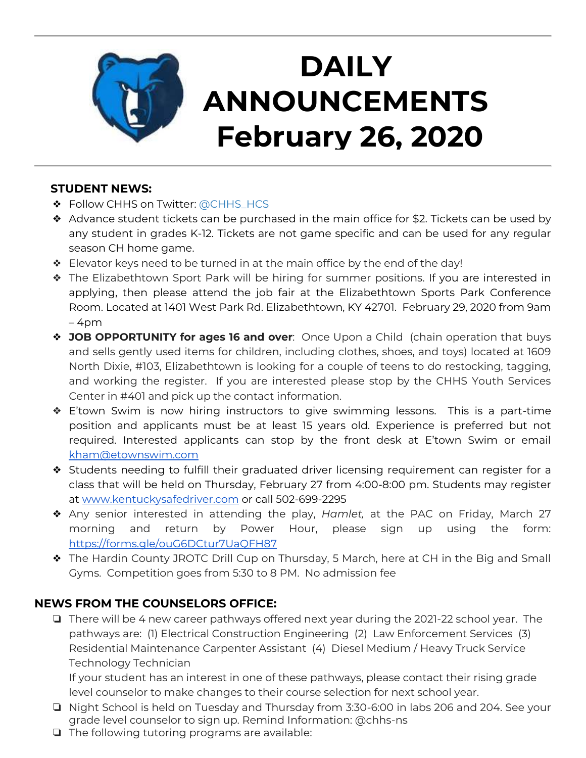

## **STUDENT NEWS:**

- ❖ Follow CHHS on Twitter: [@CHHS\\_HCS](https://twitter.com/CHHS_HCS)
- ❖ Advance student tickets can be purchased in the main office for \$2. Tickets can be used by any student in grades K-12. Tickets are not game specific and can be used for any regular season CH home game.
- ❖ Elevator keys need to be turned in at the main office by the end of the day!
- ❖ The Elizabethtown Sport Park will be hiring for summer positions. If you are interested in applying, then please attend the job fair at the Elizabethtown Sports Park Conference Room. Located at 1401 West Park Rd. Elizabethtown, KY 42701. February 29, 2020 from 9am – 4pm
- ❖ **JOB OPPORTUNITY for ages 16 and over**: Once Upon a Child (chain operation that buys and sells gently used items for children, including clothes, shoes, and toys) located at 1609 North Dixie, #103, Elizabethtown is looking for a couple of teens to do restocking, tagging, and working the register. If you are interested please stop by the CHHS Youth Services Center in #401 and pick up the contact information.
- ❖ E'town Swim is now hiring instructors to give swimming lessons. This is a part-time position and applicants must be at least 15 years old. Experience is preferred but not required. Interested applicants can stop by the front desk at E'town Swim or email [kham@etownswim.com](mailto:kham@etownswim.com)
- ❖ Students needing to fulfill their graduated driver licensing requirement can register for a class that will be held on Thursday, February 27 from 4:00-8:00 pm. Students may register at [www.kentuckysafedriver.com](http://www.kentuckysafedriver.com/) or call 502-699-2295
- ❖ Any senior interested in attending the play, *Hamlet,* at the PAC on Friday, March 27 morning and return by Power Hour, please sign up using the form: <https://forms.gle/ouG6DCtur7UaQFH87>
- ❖ The Hardin County JROTC Drill Cup on Thursday, 5 March, here at CH in the Big and Small Gyms. Competition goes from 5:30 to 8 PM. No admission fee

# **NEWS FROM THE COUNSELORS OFFICE:**

❏ There will be 4 new career pathways offered next year during the 2021-22 school year. The pathways are: (1) Electrical Construction Engineering (2) Law Enforcement Services (3) Residential Maintenance Carpenter Assistant (4) Diesel Medium / Heavy Truck Service Technology Technician

If your student has an interest in one of these pathways, please contact their rising grade level counselor to make changes to their course selection for next school year.

- ❏ Night School is held on Tuesday and Thursday from 3:30-6:00 in labs 206 and 204. See your grade level counselor to sign up. Remind Information: @chhs-ns
- ❏ The following tutoring programs are available: